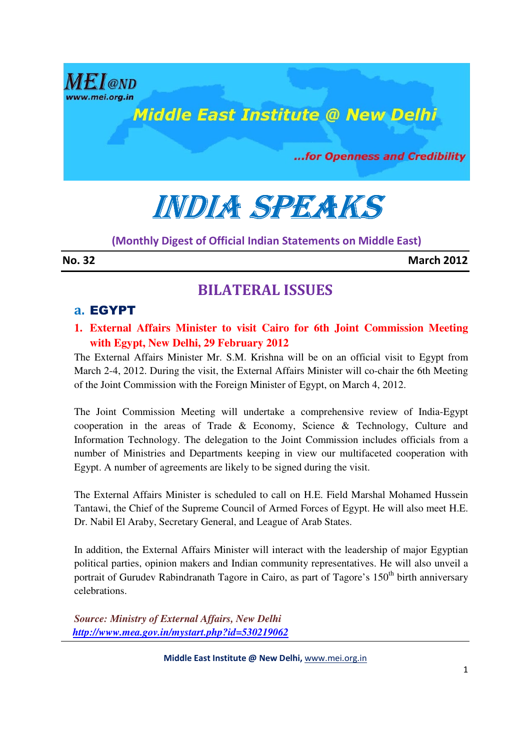

# INDIA SPEAKS

(Monthly Digest of Official Indian Statements on Middle East)

No. 32 March 2012

### BILATERAL ISSUES

### a. EGYPT

**1. External Affairs Minister to visit Cairo for 6th Joint Commission Meeting with Egypt, New Delhi, 29 February 2012** 

The External Affairs Minister Mr. S.M. Krishna will be on an official visit to Egypt from March 2-4, 2012. During the visit, the External Affairs Minister will co-chair the 6th Meeting of the Joint Commission with the Foreign Minister of Egypt, on March 4, 2012.

The Joint Commission Meeting will undertake a comprehensive review of India-Egypt cooperation in the areas of Trade & Economy, Science & Technology, Culture and Information Technology. The delegation to the Joint Commission includes officials from a number of Ministries and Departments keeping in view our multifaceted cooperation with Egypt. A number of agreements are likely to be signed during the visit.

The External Affairs Minister is scheduled to call on H.E. Field Marshal Mohamed Hussein Tantawi, the Chief of the Supreme Council of Armed Forces of Egypt. He will also meet H.E. Dr. Nabil El Araby, Secretary General, and League of Arab States.

In addition, the External Affairs Minister will interact with the leadership of major Egyptian political parties, opinion makers and Indian community representatives. He will also unveil a portrait of Gurudev Rabindranath Tagore in Cairo, as part of Tagore's  $150<sup>th</sup>$  birth anniversary celebrations.

*Source: Ministry of External Affairs, New Delhi http://www.mea.gov.in/mystart.php?id=530219062*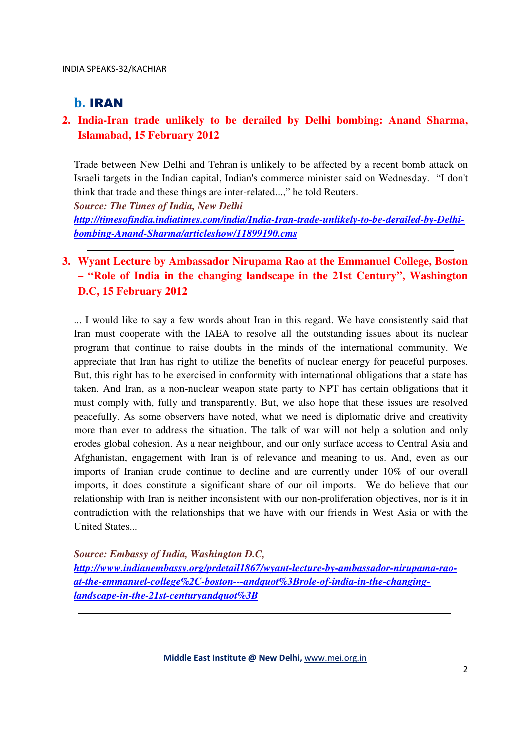### b. IRAN

### **2. India-Iran trade unlikely to be derailed by Delhi bombing: Anand Sharma, Islamabad, 15 February 2012**

Trade between New Delhi and Tehran is unlikely to be affected by a recent bomb attack on Israeli targets in the Indian capital, Indian's commerce minister said on Wednesday. "I don't think that trade and these things are inter-related...," he told Reuters.

*Source: The Times of India, New Delhi* 

*http://timesofindia.indiatimes.com/india/India-Iran-trade-unlikely-to-be-derailed-by-Delhibombing-Anand-Sharma/articleshow/11899190.cms*

### **3. Wyant Lecture by Ambassador Nirupama Rao at the Emmanuel College, Boston – "Role of India in the changing landscape in the 21st Century", Washington D.C, 15 February 2012**

... I would like to say a few words about Iran in this regard. We have consistently said that Iran must cooperate with the IAEA to resolve all the outstanding issues about its nuclear program that continue to raise doubts in the minds of the international community. We appreciate that Iran has right to utilize the benefits of nuclear energy for peaceful purposes. But, this right has to be exercised in conformity with international obligations that a state has taken. And Iran, as a non-nuclear weapon state party to NPT has certain obligations that it must comply with, fully and transparently. But, we also hope that these issues are resolved peacefully. As some observers have noted, what we need is diplomatic drive and creativity more than ever to address the situation. The talk of war will not help a solution and only erodes global cohesion. As a near neighbour, and our only surface access to Central Asia and Afghanistan, engagement with Iran is of relevance and meaning to us. And, even as our imports of Iranian crude continue to decline and are currently under 10% of our overall imports, it does constitute a significant share of our oil imports. We do believe that our relationship with Iran is neither inconsistent with our non-proliferation objectives, nor is it in contradiction with the relationships that we have with our friends in West Asia or with the United States...

*Source: Embassy of India, Washington D.C,* 

*http://www.indianembassy.org/prdetail1867/wyant-lecture-by-ambassador-nirupama-raoat-the-emmanuel-college%2C-boston---andquot%3Brole-of-india-in-the-changinglandscape-in-the-21st-centuryandquot%3B*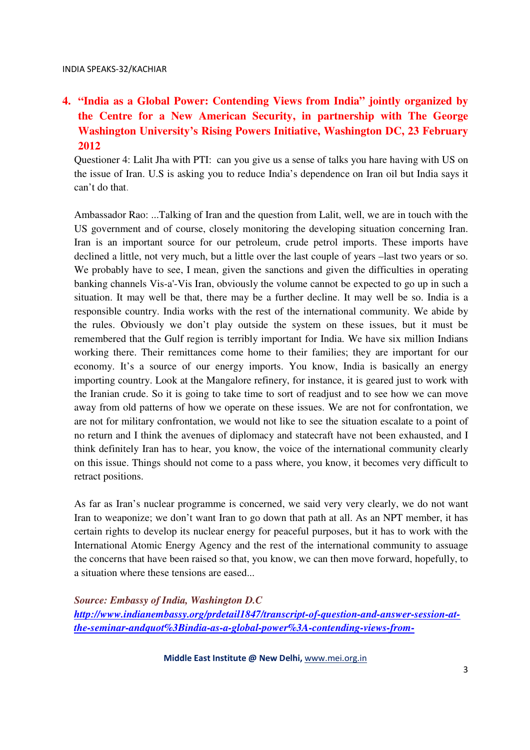### **4. "India as a Global Power: Contending Views from India" jointly organized by the Centre for a New American Security, in partnership with The George Washington University's Rising Powers Initiative, Washington DC, 23 February 2012**

Questioner 4: Lalit Jha with PTI: can you give us a sense of talks you hare having with US on the issue of Iran. U.S is asking you to reduce India's dependence on Iran oil but India says it can't do that.

Ambassador Rao: ...Talking of Iran and the question from Lalit, well, we are in touch with the US government and of course, closely monitoring the developing situation concerning Iran. Iran is an important source for our petroleum, crude petrol imports. These imports have declined a little, not very much, but a little over the last couple of years –last two years or so. We probably have to see, I mean, given the sanctions and given the difficulties in operating banking channels Vis-a'-Vis Iran, obviously the volume cannot be expected to go up in such a situation. It may well be that, there may be a further decline. It may well be so. India is a responsible country. India works with the rest of the international community. We abide by the rules. Obviously we don't play outside the system on these issues, but it must be remembered that the Gulf region is terribly important for India. We have six million Indians working there. Their remittances come home to their families; they are important for our economy. It's a source of our energy imports. You know, India is basically an energy importing country. Look at the Mangalore refinery, for instance, it is geared just to work with the Iranian crude. So it is going to take time to sort of readjust and to see how we can move away from old patterns of how we operate on these issues. We are not for confrontation, we are not for military confrontation, we would not like to see the situation escalate to a point of no return and I think the avenues of diplomacy and statecraft have not been exhausted, and I think definitely Iran has to hear, you know, the voice of the international community clearly on this issue. Things should not come to a pass where, you know, it becomes very difficult to retract positions.

As far as Iran's nuclear programme is concerned, we said very very clearly, we do not want Iran to weaponize; we don't want Iran to go down that path at all. As an NPT member, it has certain rights to develop its nuclear energy for peaceful purposes, but it has to work with the International Atomic Energy Agency and the rest of the international community to assuage the concerns that have been raised so that, you know, we can then move forward, hopefully, to a situation where these tensions are eased...

*Source: Embassy of India, Washington D.C* 

*http://www.indianembassy.org/prdetail1847/transcript-of-question-and-answer-session-atthe-seminar-andquot%3Bindia-as-a-global-power%3A-contending-views-from-*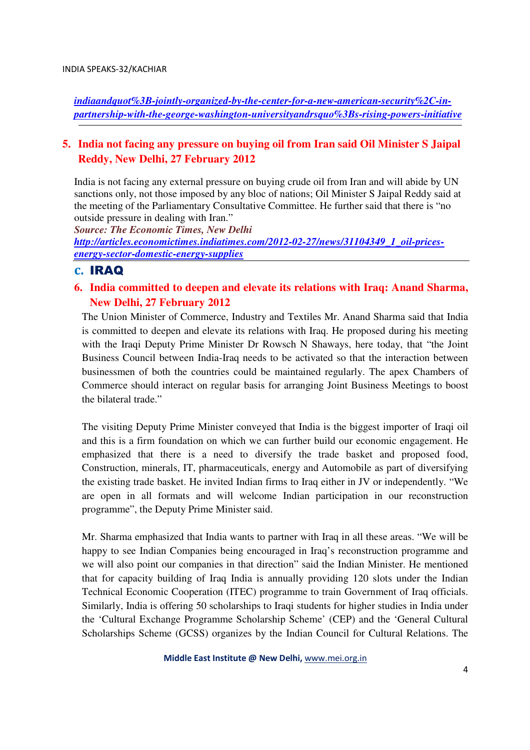*indiaandquot%3B-jointly-organized-by-the-center-for-a-new-american-security%2C-inpartnership-with-the-george-washington-universityandrsquo%3Bs-rising-powers-initiative*

### **5. India not facing any pressure on buying oil from Iran said Oil Minister S Jaipal Reddy, New Delhi, 27 February 2012**

India is not facing any external pressure on buying crude oil from Iran and will abide by UN sanctions only, not those imposed by any bloc of nations; Oil Minister S Jaipal Reddy said at the meeting of the Parliamentary Consultative Committee. He further said that there is "no outside pressure in dealing with Iran."

*Source: The Economic Times, New Delhi http://articles.economictimes.indiatimes.com/2012-02-27/news/31104349\_1\_oil-pricesenergy-sector-domestic-energy-supplies*

#### c. IRAQ

### **6. India committed to deepen and elevate its relations with Iraq: Anand Sharma, New Delhi, 27 February 2012**

The Union Minister of Commerce, Industry and Textiles Mr. Anand Sharma said that India is committed to deepen and elevate its relations with Iraq. He proposed during his meeting with the Iraqi Deputy Prime Minister Dr Rowsch N Shaways, here today, that "the Joint Business Council between India-Iraq needs to be activated so that the interaction between businessmen of both the countries could be maintained regularly. The apex Chambers of Commerce should interact on regular basis for arranging Joint Business Meetings to boost the bilateral trade."

The visiting Deputy Prime Minister conveyed that India is the biggest importer of Iraqi oil and this is a firm foundation on which we can further build our economic engagement. He emphasized that there is a need to diversify the trade basket and proposed food, Construction, minerals, IT, pharmaceuticals, energy and Automobile as part of diversifying the existing trade basket. He invited Indian firms to Iraq either in JV or independently. "We are open in all formats and will welcome Indian participation in our reconstruction programme", the Deputy Prime Minister said.

Mr. Sharma emphasized that India wants to partner with Iraq in all these areas. "We will be happy to see Indian Companies being encouraged in Iraq's reconstruction programme and we will also point our companies in that direction" said the Indian Minister. He mentioned that for capacity building of Iraq India is annually providing 120 slots under the Indian Technical Economic Cooperation (ITEC) programme to train Government of Iraq officials. Similarly, India is offering 50 scholarships to Iraqi students for higher studies in India under the 'Cultural Exchange Programme Scholarship Scheme' (CEP) and the 'General Cultural Scholarships Scheme (GCSS) organizes by the Indian Council for Cultural Relations. The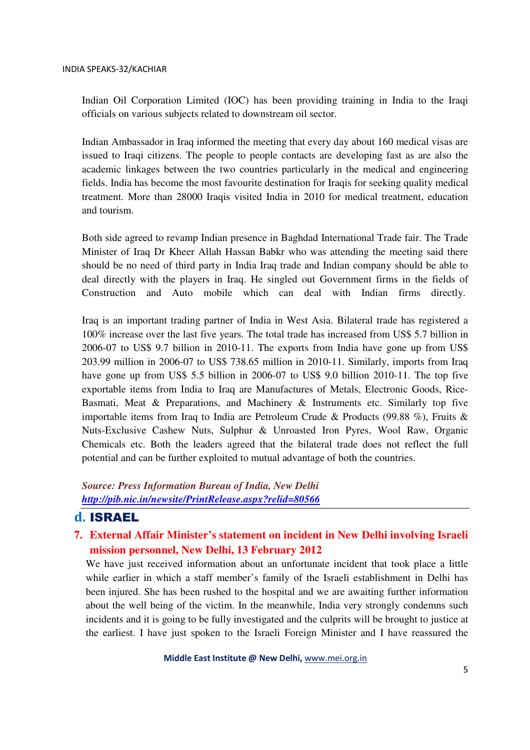Indian Oil Corporation Limited (IOC) has been providing training in India to the Iraqi officials on various subjects related to downstream oil sector.

Indian Ambassador in Iraq informed the meeting that every day about 160 medical visas are issued to Iraqi citizens. The people to people contacts are developing fast as are also the academic linkages between the two countries particularly in the medical and engineering fields. India has become the most favourite destination for Iraqis for seeking quality medical treatment. More than 28000 Iraqis visited India in 2010 for medical treatment, education and tourism.

Both side agreed to revamp Indian presence in Baghdad International Trade fair. The Trade Minister of Iraq Dr Kheer Allah Hassan Babkr who was attending the meeting said there should be no need of third party in India Iraq trade and Indian company should be able to deal directly with the players in Iraq. He singled out Government firms in the fields of Construction and Auto mobile which can deal with Indian firms directly.

Iraq is an important trading partner of India in West Asia. Bilateral trade has registered a 100% increase over the last five years. The total trade has increased from US\$ 5.7 billion in 2006-07 to US\$ 9.7 billion in 2010-11. The exports from India have gone up from US\$ 203.99 million in 2006-07 to US\$ 738.65 million in 2010-11. Similarly, imports from Iraq have gone up from US\$ 5.5 billion in 2006-07 to US\$ 9.0 billion 2010-11. The top five exportable items from India to Iraq are Manufactures of Metals, Electronic Goods, Rice-Basmati, Meat & Preparations, and Machinery & Instruments etc. Similarly top five importable items from Iraq to India are Petroleum Crude & Products (99.88 %), Fruits & Nuts-Exclusive Cashew Nuts, Sulphur & Unroasted Iron Pyres, Wool Raw, Organic Chemicals etc. Both the leaders agreed that the bilateral trade does not reflect the full potential and can be further exploited to mutual advantage of both the countries.

*Source: Press Information Bureau of India, New Delhi http://pib.nic.in/newsite/PrintRelease.aspx?relid=80566*

### d. ISRAEL

### **7. External Affair Minister's statement on incident in New Delhi involving Israeli mission personnel, New Delhi, 13 February 2012**

We have just received information about an unfortunate incident that took place a little while earlier in which a staff member's family of the Israeli establishment in Delhi has been injured. She has been rushed to the hospital and we are awaiting further information about the well being of the victim. In the meanwhile, India very strongly condemns such incidents and it is going to be fully investigated and the culprits will be brought to justice at the earliest. I have just spoken to the Israeli Foreign Minister and I have reassured the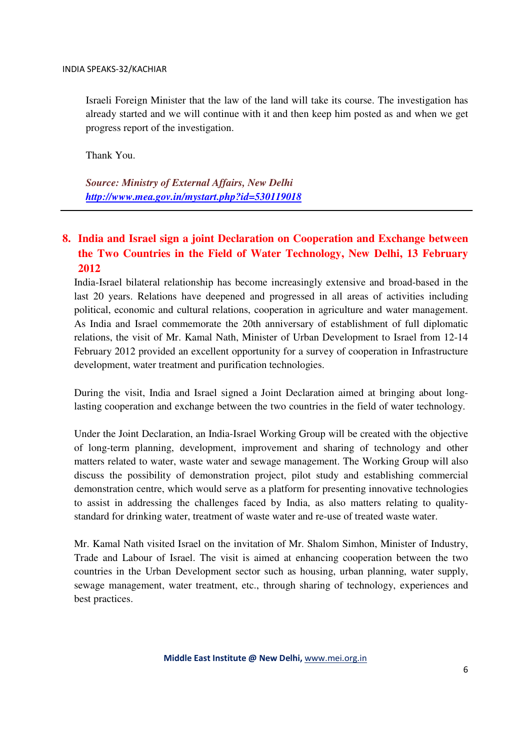Israeli Foreign Minister that the law of the land will take its course. The investigation has already started and we will continue with it and then keep him posted as and when we get progress report of the investigation.

Thank You.

*Source: Ministry of External Affairs, New Delhi http://www.mea.gov.in/mystart.php?id=530119018*

### **8. India and Israel sign a joint Declaration on Cooperation and Exchange between the Two Countries in the Field of Water Technology, New Delhi, 13 February 2012**

India-Israel bilateral relationship has become increasingly extensive and broad-based in the last 20 years. Relations have deepened and progressed in all areas of activities including political, economic and cultural relations, cooperation in agriculture and water management. As India and Israel commemorate the 20th anniversary of establishment of full diplomatic relations, the visit of Mr. Kamal Nath, Minister of Urban Development to Israel from 12-14 February 2012 provided an excellent opportunity for a survey of cooperation in Infrastructure development, water treatment and purification technologies.

During the visit, India and Israel signed a Joint Declaration aimed at bringing about longlasting cooperation and exchange between the two countries in the field of water technology.

Under the Joint Declaration, an India-Israel Working Group will be created with the objective of long-term planning, development, improvement and sharing of technology and other matters related to water, waste water and sewage management. The Working Group will also discuss the possibility of demonstration project, pilot study and establishing commercial demonstration centre, which would serve as a platform for presenting innovative technologies to assist in addressing the challenges faced by India, as also matters relating to qualitystandard for drinking water, treatment of waste water and re-use of treated waste water.

Mr. Kamal Nath visited Israel on the invitation of Mr. Shalom Simhon, Minister of Industry, Trade and Labour of Israel. The visit is aimed at enhancing cooperation between the two countries in the Urban Development sector such as housing, urban planning, water supply, sewage management, water treatment, etc., through sharing of technology, experiences and best practices.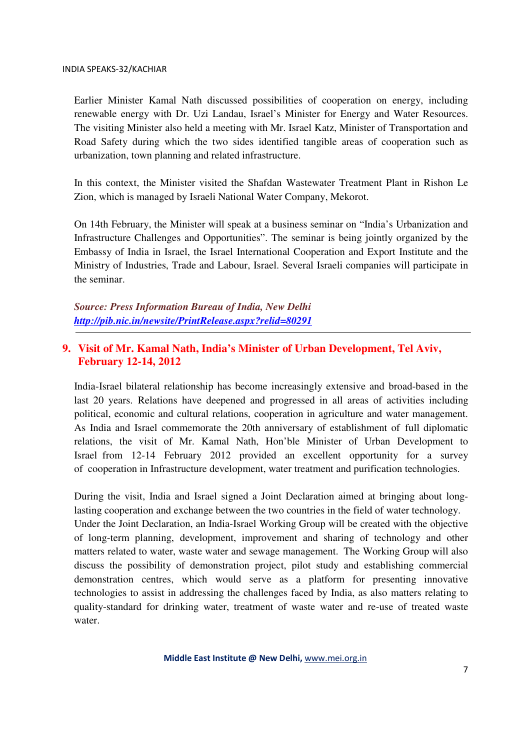Earlier Minister Kamal Nath discussed possibilities of cooperation on energy, including renewable energy with Dr. Uzi Landau, Israel's Minister for Energy and Water Resources. The visiting Minister also held a meeting with Mr. Israel Katz, Minister of Transportation and Road Safety during which the two sides identified tangible areas of cooperation such as urbanization, town planning and related infrastructure.

In this context, the Minister visited the Shafdan Wastewater Treatment Plant in Rishon Le Zion, which is managed by Israeli National Water Company, Mekorot.

On 14th February, the Minister will speak at a business seminar on "India's Urbanization and Infrastructure Challenges and Opportunities". The seminar is being jointly organized by the Embassy of India in Israel, the Israel International Cooperation and Export Institute and the Ministry of Industries, Trade and Labour, Israel. Several Israeli companies will participate in the seminar.

*Source: Press Information Bureau of India, New Delhi http://pib.nic.in/newsite/PrintRelease.aspx?relid=80291*

### **9. Visit of Mr. Kamal Nath, India's Minister of Urban Development, Tel Aviv, February 12-14, 2012**

India-Israel bilateral relationship has become increasingly extensive and broad-based in the last 20 years. Relations have deepened and progressed in all areas of activities including political, economic and cultural relations, cooperation in agriculture and water management. As India and Israel commemorate the 20th anniversary of establishment of full diplomatic relations, the visit of Mr. Kamal Nath, Hon'ble Minister of Urban Development to Israel from 12-14 February 2012 provided an excellent opportunity for a survey of cooperation in Infrastructure development, water treatment and purification technologies.

During the visit, India and Israel signed a Joint Declaration aimed at bringing about longlasting cooperation and exchange between the two countries in the field of water technology.

Under the Joint Declaration, an India-Israel Working Group will be created with the objective of long-term planning, development, improvement and sharing of technology and other matters related to water, waste water and sewage management. The Working Group will also discuss the possibility of demonstration project, pilot study and establishing commercial demonstration centres, which would serve as a platform for presenting innovative technologies to assist in addressing the challenges faced by India, as also matters relating to quality-standard for drinking water, treatment of waste water and re-use of treated waste water.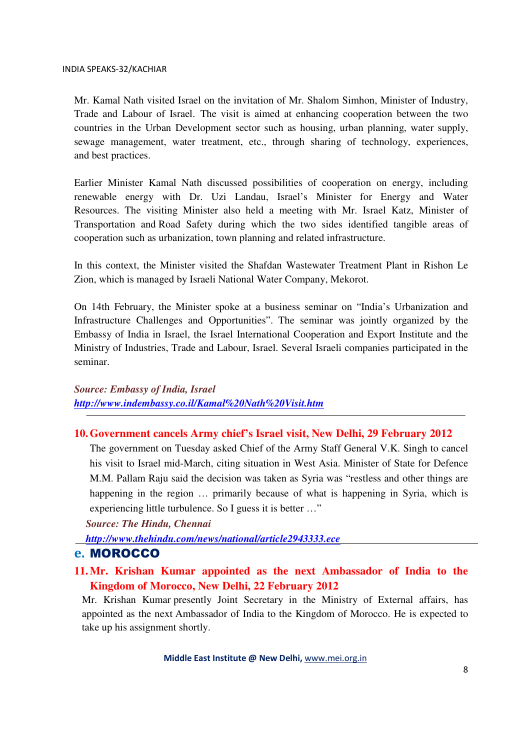Mr. Kamal Nath visited Israel on the invitation of Mr. Shalom Simhon, Minister of Industry, Trade and Labour of Israel. The visit is aimed at enhancing cooperation between the two countries in the Urban Development sector such as housing, urban planning, water supply, sewage management, water treatment, etc., through sharing of technology, experiences, and best practices.

Earlier Minister Kamal Nath discussed possibilities of cooperation on energy, including renewable energy with Dr. Uzi Landau, Israel's Minister for Energy and Water Resources. The visiting Minister also held a meeting with Mr. Israel Katz, Minister of Transportation and Road Safety during which the two sides identified tangible areas of cooperation such as urbanization, town planning and related infrastructure.

In this context, the Minister visited the Shafdan Wastewater Treatment Plant in Rishon Le Zion, which is managed by Israeli National Water Company, Mekorot.

On 14th February, the Minister spoke at a business seminar on "India's Urbanization and Infrastructure Challenges and Opportunities". The seminar was jointly organized by the Embassy of India in Israel, the Israel International Cooperation and Export Institute and the Ministry of Industries, Trade and Labour, Israel. Several Israeli companies participated in the seminar.

*Source: Embassy of India, Israel http://www.indembassy.co.il/Kamal%20Nath%20Visit.htm*

#### **10.Government cancels Army chief's Israel visit, New Delhi, 29 February 2012**

The government on Tuesday asked Chief of the Army Staff General V.K. Singh to cancel his visit to Israel mid-March, citing situation in West Asia. Minister of State for Defence M.M. Pallam Raju said the decision was taken as Syria was "restless and other things are happening in the region … primarily because of what is happening in Syria, which is experiencing little turbulence. So I guess it is better …"

*Source: The Hindu, Chennai* 

*http://www.thehindu.com/news/national/article2943333.ece*

### e. MOROCCO

**11.Mr. Krishan Kumar appointed as the next Ambassador of India to the Kingdom of Morocco, New Delhi, 22 February 2012** 

Mr. Krishan Kumar presently Joint Secretary in the Ministry of External affairs, has appointed as the next Ambassador of India to the Kingdom of Morocco. He is expected to take up his assignment shortly.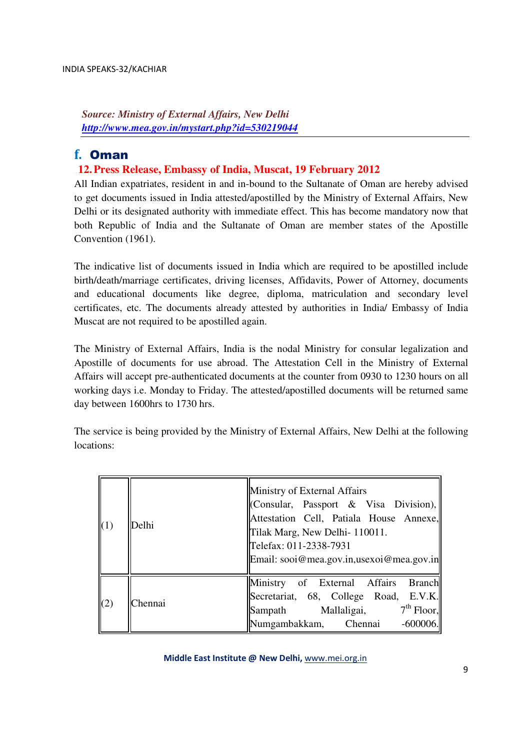*Source: Ministry of External Affairs, New Delhi http://www.mea.gov.in/mystart.php?id=530219044*

### f. Oman

### **12.Press Release, Embassy of India, Muscat, 19 February 2012**

All Indian expatriates, resident in and in-bound to the Sultanate of Oman are hereby advised to get documents issued in India attested/apostilled by the Ministry of External Affairs, New Delhi or its designated authority with immediate effect. This has become mandatory now that both Republic of India and the Sultanate of Oman are member states of the Apostille Convention (1961).

The indicative list of documents issued in India which are required to be apostilled include birth/death/marriage certificates, driving licenses, Affidavits, Power of Attorney, documents and educational documents like degree, diploma, matriculation and secondary level certificates, etc. The documents already attested by authorities in India/ Embassy of India Muscat are not required to be apostilled again.

The Ministry of External Affairs, India is the nodal Ministry for consular legalization and Apostille of documents for use abroad. The Attestation Cell in the Ministry of External Affairs will accept pre-authenticated documents at the counter from 0930 to 1230 hours on all working days i.e. Monday to Friday. The attested/apostilled documents will be returned same day between 1600hrs to 1730 hrs.

The service is being provided by the Ministry of External Affairs, New Delhi at the following locations:

| (1) | Delhi   | Ministry of External Affairs<br>(Consular, Passport & Visa Division),<br>Attestation Cell, Patiala House Annexe,<br>Tilak Marg, New Delhi-110011.<br>Telefax: 011-2338-7931<br>Email: sooi@mea.gov.in,usexoi@mea.gov.in |
|-----|---------|-------------------------------------------------------------------------------------------------------------------------------------------------------------------------------------------------------------------------|
| (2) | Chennai | Ministry of External Affairs Branch<br>Secretariat, 68, College Road, E.V.K.<br>Sampath Mallaligai, 7 <sup>th</sup> Floor,<br>Numgambakkam, Chennai<br>$-600006$ .                                                      |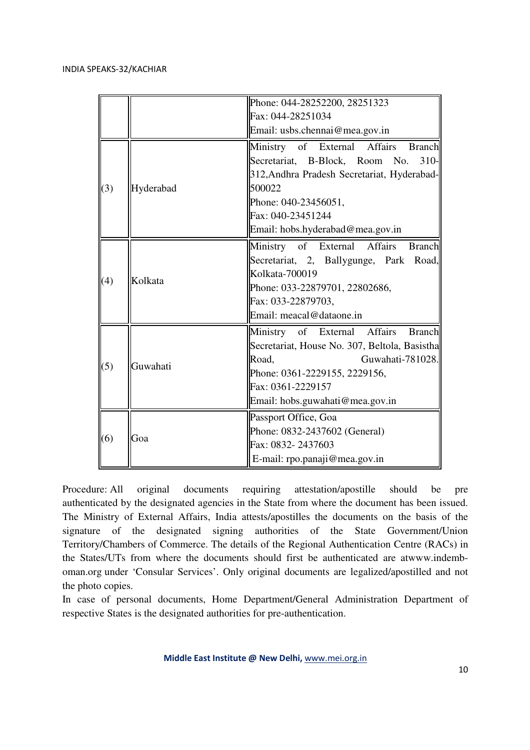|     |           | Phone: 044-28252200, 28251323                 |
|-----|-----------|-----------------------------------------------|
|     |           | Fax: 044-28251034                             |
|     |           | Email: usbs.chennai@mea.gov.in                |
| (3) | Hyderabad | Ministry of External Affairs Branch           |
|     |           | Secretariat, B-Block, Room No.<br>$310-$      |
|     |           | 312, Andhra Pradesh Secretariat, Hyderabad-   |
|     |           | 500022                                        |
|     |           | Phone: 040-23456051,                          |
|     |           | Fax: 040-23451244                             |
|     |           | Email: hobs.hyderabad@mea.gov.in              |
| (4) | Kolkata   | Ministry of External Affairs Branch           |
|     |           | Secretariat, 2, Ballygunge, Park Road,        |
|     |           | Kolkata-700019                                |
|     |           | Phone: 033-22879701, 22802686,                |
|     |           | Fax: 033-22879703,                            |
|     |           | Email: meacal@dataone.in                      |
| (5) | Guwahati  | Ministry of External Affairs<br><b>Branch</b> |
|     |           | Secretariat, House No. 307, Beltola, Basistha |
|     |           | Guwahati-781028.<br>Road,                     |
|     |           | Phone: 0361-2229155, 2229156,                 |
|     |           | Fax: 0361-2229157                             |
|     |           | Email: hobs.guwahati@mea.gov.in               |
| (6) | Goa       | Passport Office, Goa                          |
|     |           | Phone: 0832-2437602 (General)                 |
|     |           | Fax: 0832-2437603                             |
|     |           | E-mail: rpo.panaji@mea.gov.in                 |

Procedure: All original documents requiring attestation/apostille should be pre authenticated by the designated agencies in the State from where the document has been issued. The Ministry of External Affairs, India attests/apostilles the documents on the basis of the signature of the designated signing authorities of the State Government/Union Territory/Chambers of Commerce. The details of the Regional Authentication Centre (RACs) in the States/UTs from where the documents should first be authenticated are atwww.indemboman.org under 'Consular Services'. Only original documents are legalized/apostilled and not the photo copies.

In case of personal documents, Home Department/General Administration Department of respective States is the designated authorities for pre-authentication.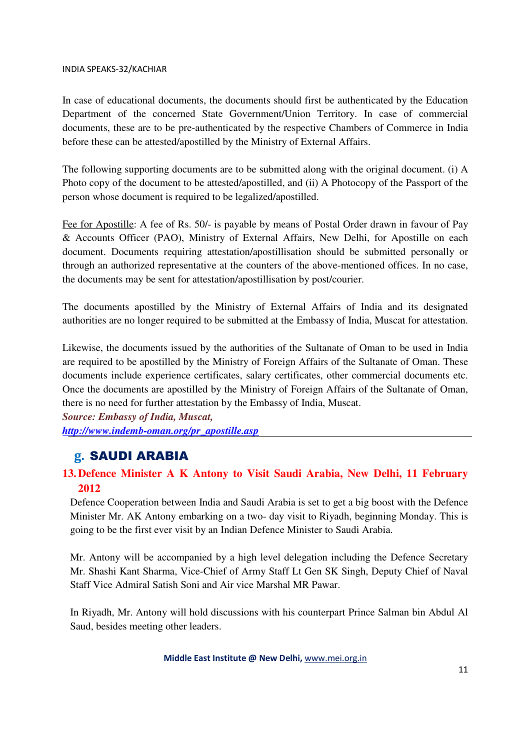In case of educational documents, the documents should first be authenticated by the Education Department of the concerned State Government/Union Territory. In case of commercial documents, these are to be pre-authenticated by the respective Chambers of Commerce in India before these can be attested/apostilled by the Ministry of External Affairs.

The following supporting documents are to be submitted along with the original document. (i) A Photo copy of the document to be attested/apostilled, and (ii) A Photocopy of the Passport of the person whose document is required to be legalized/apostilled.

Fee for Apostille: A fee of Rs. 50/- is payable by means of Postal Order drawn in favour of Pay & Accounts Officer (PAO), Ministry of External Affairs, New Delhi, for Apostille on each document. Documents requiring attestation/apostillisation should be submitted personally or through an authorized representative at the counters of the above-mentioned offices. In no case, the documents may be sent for attestation/apostillisation by post/courier.

The documents apostilled by the Ministry of External Affairs of India and its designated authorities are no longer required to be submitted at the Embassy of India, Muscat for attestation.

Likewise, the documents issued by the authorities of the Sultanate of Oman to be used in India are required to be apostilled by the Ministry of Foreign Affairs of the Sultanate of Oman. These documents include experience certificates, salary certificates, other commercial documents etc. Once the documents are apostilled by the Ministry of Foreign Affairs of the Sultanate of Oman, there is no need for further attestation by the Embassy of India, Muscat.

*Source: Embassy of India, Muscat, http://www.indemb-oman.org/pr\_apostille.asp* 

### g. SAUDI ARABIA

### **13.Defence Minister A K Antony to Visit Saudi Arabia, New Delhi, 11 February 2012**

Defence Cooperation between India and Saudi Arabia is set to get a big boost with the Defence Minister Mr. AK Antony embarking on a two- day visit to Riyadh, beginning Monday. This is going to be the first ever visit by an Indian Defence Minister to Saudi Arabia.

Mr. Antony will be accompanied by a high level delegation including the Defence Secretary Mr. Shashi Kant Sharma, Vice-Chief of Army Staff Lt Gen SK Singh, Deputy Chief of Naval Staff Vice Admiral Satish Soni and Air vice Marshal MR Pawar.

In Riyadh, Mr. Antony will hold discussions with his counterpart Prince Salman bin Abdul Al Saud, besides meeting other leaders.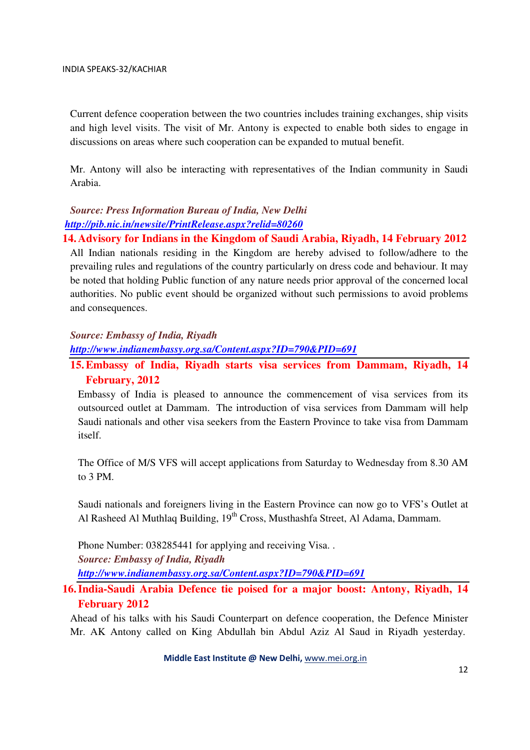Current defence cooperation between the two countries includes training exchanges, ship visits and high level visits. The visit of Mr. Antony is expected to enable both sides to engage in discussions on areas where such cooperation can be expanded to mutual benefit.

Mr. Antony will also be interacting with representatives of the Indian community in Saudi Arabia.

### *Source: Press Information Bureau of India, New Delhi http://pib.nic.in/newsite/PrintRelease.aspx?relid=80260*

**14.Advisory for Indians in the Kingdom of Saudi Arabia, Riyadh, 14 February 2012** 

All Indian nationals residing in the Kingdom are hereby advised to follow/adhere to the prevailing rules and regulations of the country particularly on dress code and behaviour. It may be noted that holding Public function of any nature needs prior approval of the concerned local authorities. No public event should be organized without such permissions to avoid problems and consequences.

#### *Source: Embassy of India, Riyadh*

*http://www.indianembassy.org.sa/Content.aspx?ID=790&PID=691*

### **15.Embassy of India, Riyadh starts visa services from Dammam, Riyadh, 14 February, 2012**

Embassy of India is pleased to announce the commencement of visa services from its outsourced outlet at Dammam. The introduction of visa services from Dammam will help Saudi nationals and other visa seekers from the Eastern Province to take visa from Dammam itself.

The Office of M/S VFS will accept applications from Saturday to Wednesday from 8.30 AM to 3 PM.

Saudi nationals and foreigners living in the Eastern Province can now go to VFS's Outlet at Al Rasheed Al Muthlaq Building, 19<sup>th</sup> Cross, Musthashfa Street, Al Adama, Dammam.

Phone Number: 038285441 for applying and receiving Visa. . *Source: Embassy of India, Riyadh http://www.indianembassy.org.sa/Content.aspx?ID=790&PID=691*

### **16.India-Saudi Arabia Defence tie poised for a major boost: Antony, Riyadh, 14 February 2012**

Ahead of his talks with his Saudi Counterpart on defence cooperation, the Defence Minister Mr. AK Antony called on King Abdullah bin Abdul Aziz Al Saud in Riyadh yesterday.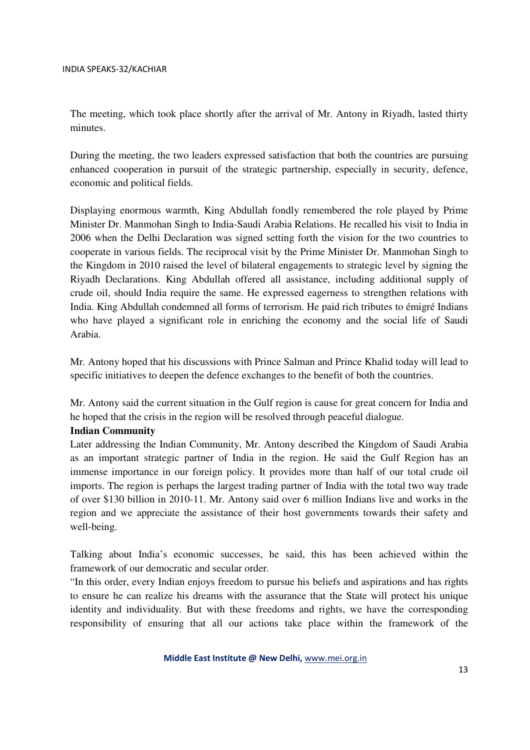The meeting, which took place shortly after the arrival of Mr. Antony in Riyadh, lasted thirty minutes.

During the meeting, the two leaders expressed satisfaction that both the countries are pursuing enhanced cooperation in pursuit of the strategic partnership, especially in security, defence, economic and political fields.

Displaying enormous warmth, King Abdullah fondly remembered the role played by Prime Minister Dr. Manmohan Singh to India-Saudi Arabia Relations. He recalled his visit to India in 2006 when the Delhi Declaration was signed setting forth the vision for the two countries to cooperate in various fields. The reciprocal visit by the Prime Minister Dr. Manmohan Singh to the Kingdom in 2010 raised the level of bilateral engagements to strategic level by signing the Riyadh Declarations. King Abdullah offered all assistance, including additional supply of crude oil, should India require the same. He expressed eagerness to strengthen relations with India. King Abdullah condemned all forms of terrorism. He paid rich tributes to émigré Indians who have played a significant role in enriching the economy and the social life of Saudi Arabia.

Mr. Antony hoped that his discussions with Prince Salman and Prince Khalid today will lead to specific initiatives to deepen the defence exchanges to the benefit of both the countries.

Mr. Antony said the current situation in the Gulf region is cause for great concern for India and he hoped that the crisis in the region will be resolved through peaceful dialogue.

#### **Indian Community**

Later addressing the Indian Community, Mr. Antony described the Kingdom of Saudi Arabia as an important strategic partner of India in the region. He said the Gulf Region has an immense importance in our foreign policy. It provides more than half of our total crude oil imports. The region is perhaps the largest trading partner of India with the total two way trade of over \$130 billion in 2010-11. Mr. Antony said over 6 million Indians live and works in the region and we appreciate the assistance of their host governments towards their safety and well-being.

Talking about India's economic successes, he said, this has been achieved within the framework of our democratic and secular order.

"In this order, every Indian enjoys freedom to pursue his beliefs and aspirations and has rights to ensure he can realize his dreams with the assurance that the State will protect his unique identity and individuality. But with these freedoms and rights, we have the corresponding responsibility of ensuring that all our actions take place within the framework of the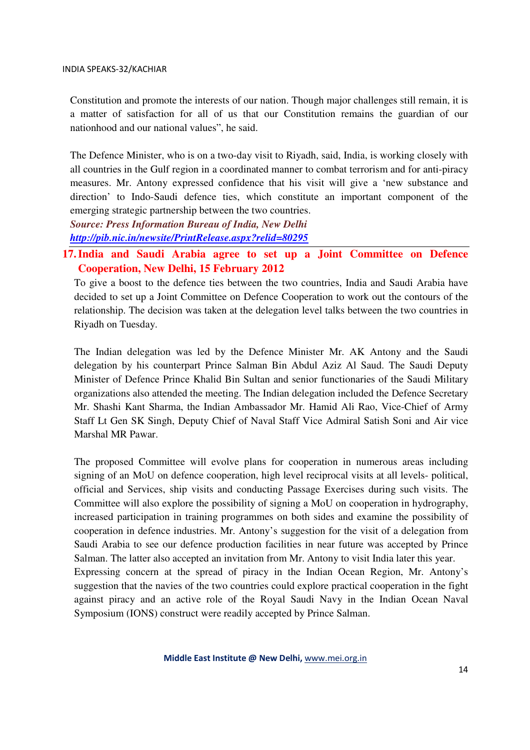Constitution and promote the interests of our nation. Though major challenges still remain, it is a matter of satisfaction for all of us that our Constitution remains the guardian of our nationhood and our national values", he said.

The Defence Minister, who is on a two-day visit to Riyadh, said, India, is working closely with all countries in the Gulf region in a coordinated manner to combat terrorism and for anti-piracy measures. Mr. Antony expressed confidence that his visit will give a 'new substance and direction' to Indo-Saudi defence ties, which constitute an important component of the emerging strategic partnership between the two countries.

*Source: Press Information Bureau of India, New Delhi http://pib.nic.in/newsite/PrintRelease.aspx?relid=80295*

**17.India and Saudi Arabia agree to set up a Joint Committee on Defence Cooperation, New Delhi, 15 February 2012** 

To give a boost to the defence ties between the two countries, India and Saudi Arabia have decided to set up a Joint Committee on Defence Cooperation to work out the contours of the relationship. The decision was taken at the delegation level talks between the two countries in Riyadh on Tuesday.

The Indian delegation was led by the Defence Minister Mr. AK Antony and the Saudi delegation by his counterpart Prince Salman Bin Abdul Aziz Al Saud. The Saudi Deputy Minister of Defence Prince Khalid Bin Sultan and senior functionaries of the Saudi Military organizations also attended the meeting. The Indian delegation included the Defence Secretary Mr. Shashi Kant Sharma, the Indian Ambassador Mr. Hamid Ali Rao, Vice-Chief of Army Staff Lt Gen SK Singh, Deputy Chief of Naval Staff Vice Admiral Satish Soni and Air vice Marshal MR Pawar.

The proposed Committee will evolve plans for cooperation in numerous areas including signing of an MoU on defence cooperation, high level reciprocal visits at all levels- political, official and Services, ship visits and conducting Passage Exercises during such visits. The Committee will also explore the possibility of signing a MoU on cooperation in hydrography, increased participation in training programmes on both sides and examine the possibility of cooperation in defence industries. Mr. Antony's suggestion for the visit of a delegation from Saudi Arabia to see our defence production facilities in near future was accepted by Prince Salman. The latter also accepted an invitation from Mr. Antony to visit India later this year. Expressing concern at the spread of piracy in the Indian Ocean Region, Mr. Antony's

suggestion that the navies of the two countries could explore practical cooperation in the fight against piracy and an active role of the Royal Saudi Navy in the Indian Ocean Naval Symposium (IONS) construct were readily accepted by Prince Salman.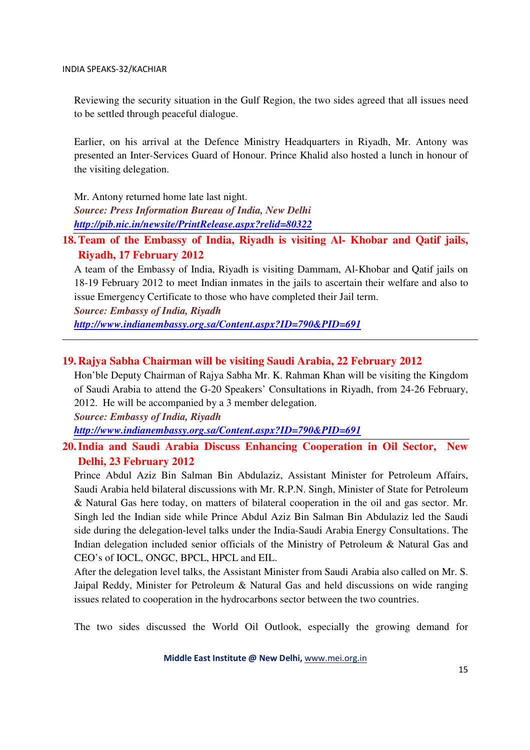Reviewing the security situation in the Gulf Region, the two sides agreed that all issues need to be settled through peaceful dialogue.

Earlier, on his arrival at the Defence Ministry Headquarters in Riyadh, Mr. Antony was presented an Inter-Services Guard of Honour. Prince Khalid also hosted a lunch in honour of the visiting delegation.

Mr. Antony returned home late last night. *Source: Press Information Bureau of India, New Delhi* 

*http://pib.nic.in/newsite/PrintRelease.aspx?relid=80322*

### **18.Team of the Embassy of India, Riyadh is visiting Al- Khobar and Qatif jails, Riyadh, 17 February 2012**

A team of the Embassy of India, Riyadh is visiting Dammam, Al-Khobar and Qatif jails on 18-19 February 2012 to meet Indian inmates in the jails to ascertain their welfare and also to issue Emergency Certificate to those who have completed their Jail term.

*Source: Embassy of India, Riyadh* 

*http://www.indianembassy.org.sa/Content.aspx?ID=790&PID=691*

#### **19.Rajya Sabha Chairman will be visiting Saudi Arabia, 22 February 2012**

Hon'ble Deputy Chairman of Rajya Sabha Mr. K. Rahman Khan will be visiting the Kingdom of Saudi Arabia to attend the G-20 Speakers' Consultations in Riyadh, from 24-26 February, 2012. He will be accompanied by a 3 member delegation.

*Source: Embassy of India, Riyadh* 

*http://www.indianembassy.org.sa/Content.aspx?ID=790&PID=691*

### **20.India and Saudi Arabia Discuss Enhancing Cooperation in Oil Sector, New Delhi, 23 February 2012**

Prince Abdul Aziz Bin Salman Bin Abdulaziz, Assistant Minister for Petroleum Affairs, Saudi Arabia held bilateral discussions with Mr. R.P.N. Singh, Minister of State for Petroleum & Natural Gas here today, on matters of bilateral cooperation in the oil and gas sector. Mr. Singh led the Indian side while Prince Abdul Aziz Bin Salman Bin Abdulaziz led the Saudi side during the delegation-level talks under the India-Saudi Arabia Energy Consultations. The Indian delegation included senior officials of the Ministry of Petroleum & Natural Gas and CEO's of IOCL, ONGC, BPCL, HPCL and EIL.

After the delegation level talks, the Assistant Minister from Saudi Arabia also called on Mr. S. Jaipal Reddy, Minister for Petroleum & Natural Gas and held discussions on wide ranging issues related to cooperation in the hydrocarbons sector between the two countries.

The two sides discussed the World Oil Outlook, especially the growing demand for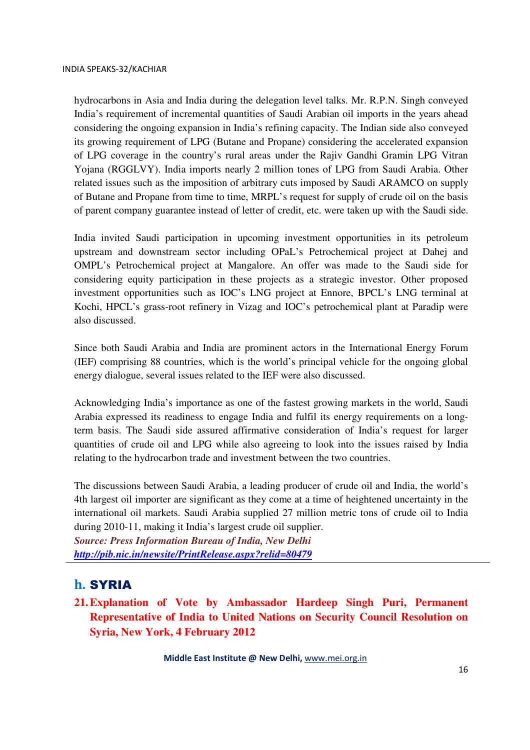hydrocarbons in Asia and India during the delegation level talks. Mr. R.P.N. Singh conveyed India's requirement of incremental quantities of Saudi Arabian oil imports in the years ahead considering the ongoing expansion in India's refining capacity. The Indian side also conveyed its growing requirement of LPG (Butane and Propane) considering the accelerated expansion of LPG coverage in the country's rural areas under the Rajiv Gandhi Gramin LPG Vitran Yojana (RGGLVY). India imports nearly 2 million tones of LPG from Saudi Arabia. Other related issues such as the imposition of arbitrary cuts imposed by Saudi ARAMCO on supply of Butane and Propane from time to time, MRPL's request for supply of crude oil on the basis of parent company guarantee instead of letter of credit, etc. were taken up with the Saudi side.

India invited Saudi participation in upcoming investment opportunities in its petroleum upstream and downstream sector including OPaL's Petrochemical project at Dahej and OMPL's Petrochemical project at Mangalore. An offer was made to the Saudi side for considering equity participation in these projects as a strategic investor. Other proposed investment opportunities such as IOC's LNG project at Ennore, BPCL's LNG terminal at Kochi, HPCL's grass-root refinery in Vizag and IOC's petrochemical plant at Paradip were also discussed.

Since both Saudi Arabia and India are prominent actors in the International Energy Forum (IEF) comprising 88 countries, which is the world's principal vehicle for the ongoing global energy dialogue, several issues related to the IEF were also discussed.

Acknowledging India's importance as one of the fastest growing markets in the world, Saudi Arabia expressed its readiness to engage India and fulfil its energy requirements on a longterm basis. The Saudi side assured affirmative consideration of India's request for larger quantities of crude oil and LPG while also agreeing to look into the issues raised by India relating to the hydrocarbon trade and investment between the two countries.

The discussions between Saudi Arabia, a leading producer of crude oil and India, the world's 4th largest oil importer are significant as they come at a time of heightened uncertainty in the international oil markets. Saudi Arabia supplied 27 million metric tons of crude oil to India during 2010-11, making it India's largest crude oil supplier.

*Source: Press Information Bureau of India, New Delhi http://pib.nic.in/newsite/PrintRelease.aspx?relid=80479*

### h. SYRIA

**21.Explanation of Vote by Ambassador Hardeep Singh Puri, Permanent Representative of India to United Nations on Security Council Resolution on Syria, New York, 4 February 2012**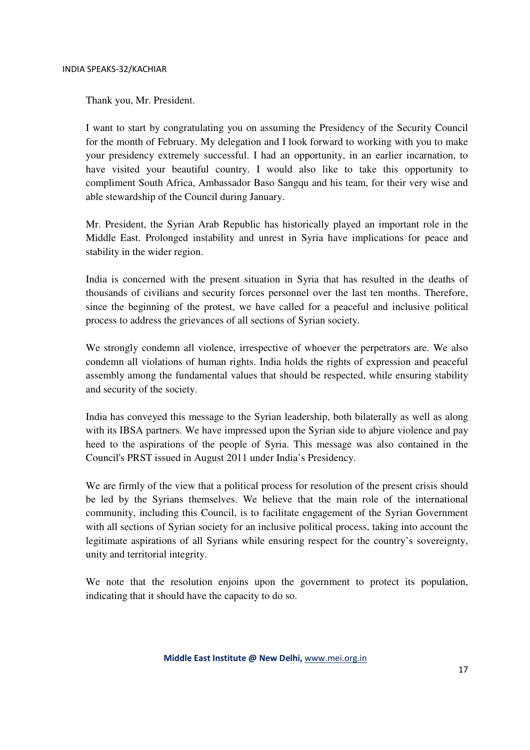Thank you, Mr. President.

I want to start by congratulating you on assuming the Presidency of the Security Council for the month of February. My delegation and I look forward to working with you to make your presidency extremely successful. I had an opportunity, in an earlier incarnation, to have visited your beautiful country. I would also like to take this opportunity to compliment South Africa, Ambassador Baso Sangqu and his team, for their very wise and able stewardship of the Council during January.

Mr. President, the Syrian Arab Republic has historically played an important role in the Middle East. Prolonged instability and unrest in Syria have implications for peace and stability in the wider region.

India is concerned with the present situation in Syria that has resulted in the deaths of thousands of civilians and security forces personnel over the last ten months. Therefore, since the beginning of the protest, we have called for a peaceful and inclusive political process to address the grievances of all sections of Syrian society.

We strongly condemn all violence, irrespective of whoever the perpetrators are. We also condemn all violations of human rights. India holds the rights of expression and peaceful assembly among the fundamental values that should be respected, while ensuring stability and security of the society.

India has conveyed this message to the Syrian leadership, both bilaterally as well as along with its IBSA partners. We have impressed upon the Syrian side to abjure violence and pay heed to the aspirations of the people of Syria. This message was also contained in the Council's PRST issued in August 2011 under India's Presidency.

We are firmly of the view that a political process for resolution of the present crisis should be led by the Syrians themselves. We believe that the main role of the international community, including this Council, is to facilitate engagement of the Syrian Government with all sections of Syrian society for an inclusive political process, taking into account the legitimate aspirations of all Syrians while ensuring respect for the country's sovereignty, unity and territorial integrity.

We note that the resolution enjoins upon the government to protect its population, indicating that it should have the capacity to do so.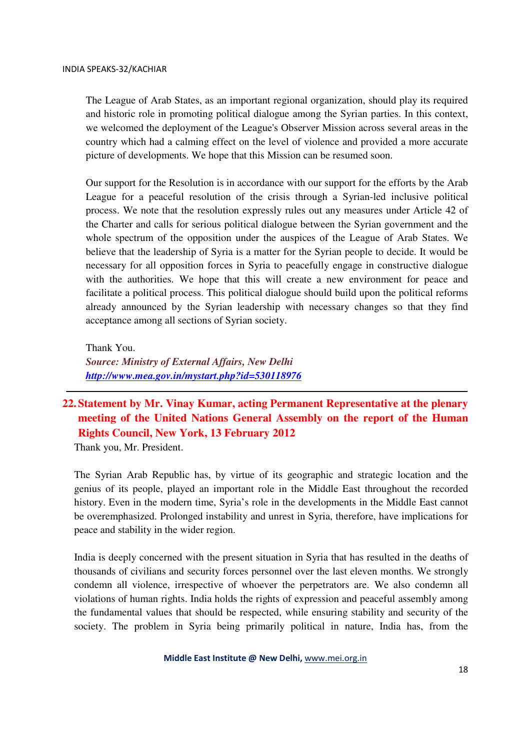The League of Arab States, as an important regional organization, should play its required and historic role in promoting political dialogue among the Syrian parties. In this context, we welcomed the deployment of the League's Observer Mission across several areas in the country which had a calming effect on the level of violence and provided a more accurate picture of developments. We hope that this Mission can be resumed soon.

Our support for the Resolution is in accordance with our support for the efforts by the Arab League for a peaceful resolution of the crisis through a Syrian-led inclusive political process. We note that the resolution expressly rules out any measures under Article 42 of the Charter and calls for serious political dialogue between the Syrian government and the whole spectrum of the opposition under the auspices of the League of Arab States. We believe that the leadership of Syria is a matter for the Syrian people to decide. It would be necessary for all opposition forces in Syria to peacefully engage in constructive dialogue with the authorities. We hope that this will create a new environment for peace and facilitate a political process. This political dialogue should build upon the political reforms already announced by the Syrian leadership with necessary changes so that they find acceptance among all sections of Syrian society.

Thank You. *Source: Ministry of External Affairs, New Delhi http://www.mea.gov.in/mystart.php?id=530118976*

### **22. Statement by Mr. Vinay Kumar, acting Permanent Representative at the plenary meeting of the United Nations General Assembly on the report of the Human Rights Council, New York, 13 February 2012**

Thank you, Mr. President.

The Syrian Arab Republic has, by virtue of its geographic and strategic location and the genius of its people, played an important role in the Middle East throughout the recorded history. Even in the modern time, Syria's role in the developments in the Middle East cannot be overemphasized. Prolonged instability and unrest in Syria, therefore, have implications for peace and stability in the wider region.

India is deeply concerned with the present situation in Syria that has resulted in the deaths of thousands of civilians and security forces personnel over the last eleven months. We strongly condemn all violence, irrespective of whoever the perpetrators are. We also condemn all violations of human rights. India holds the rights of expression and peaceful assembly among the fundamental values that should be respected, while ensuring stability and security of the society. The problem in Syria being primarily political in nature, India has, from the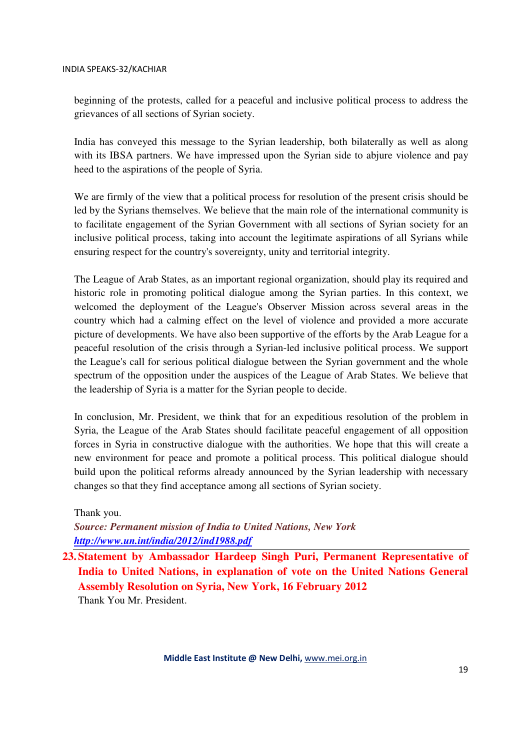beginning of the protests, called for a peaceful and inclusive political process to address the grievances of all sections of Syrian society.

India has conveyed this message to the Syrian leadership, both bilaterally as well as along with its IBSA partners. We have impressed upon the Syrian side to abjure violence and pay heed to the aspirations of the people of Syria.

We are firmly of the view that a political process for resolution of the present crisis should be led by the Syrians themselves. We believe that the main role of the international community is to facilitate engagement of the Syrian Government with all sections of Syrian society for an inclusive political process, taking into account the legitimate aspirations of all Syrians while ensuring respect for the country's sovereignty, unity and territorial integrity.

The League of Arab States, as an important regional organization, should play its required and historic role in promoting political dialogue among the Syrian parties. In this context, we welcomed the deployment of the League's Observer Mission across several areas in the country which had a calming effect on the level of violence and provided a more accurate picture of developments. We have also been supportive of the efforts by the Arab League for a peaceful resolution of the crisis through a Syrian-led inclusive political process. We support the League's call for serious political dialogue between the Syrian government and the whole spectrum of the opposition under the auspices of the League of Arab States. We believe that the leadership of Syria is a matter for the Syrian people to decide.

In conclusion, Mr. President, we think that for an expeditious resolution of the problem in Syria, the League of the Arab States should facilitate peaceful engagement of all opposition forces in Syria in constructive dialogue with the authorities. We hope that this will create a new environment for peace and promote a political process. This political dialogue should build upon the political reforms already announced by the Syrian leadership with necessary changes so that they find acceptance among all sections of Syrian society.

Thank you.

*Source: Permanent mission of India to United Nations, New York http://www.un.int/india/2012/ind1988.pdf*

**23. Statement by Ambassador Hardeep Singh Puri, Permanent Representative of India to United Nations, in explanation of vote on the United Nations General Assembly Resolution on Syria, New York, 16 February 2012**  Thank You Mr. President.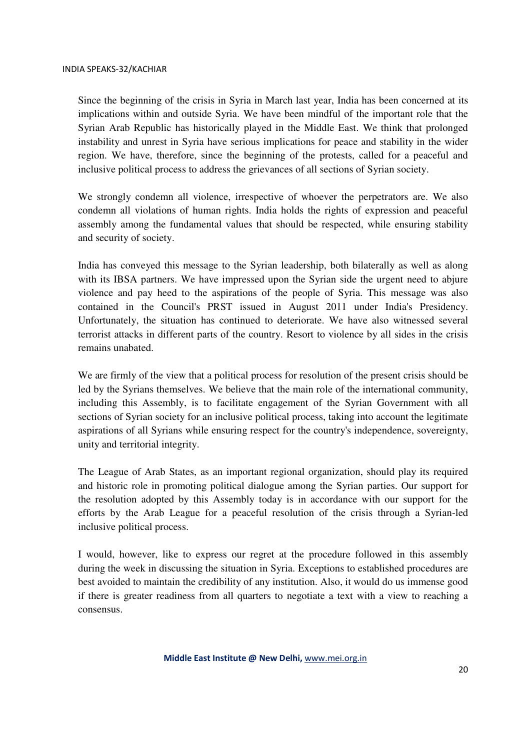Since the beginning of the crisis in Syria in March last year, India has been concerned at its implications within and outside Syria. We have been mindful of the important role that the Syrian Arab Republic has historically played in the Middle East. We think that prolonged instability and unrest in Syria have serious implications for peace and stability in the wider region. We have, therefore, since the beginning of the protests, called for a peaceful and inclusive political process to address the grievances of all sections of Syrian society.

We strongly condemn all violence, irrespective of whoever the perpetrators are. We also condemn all violations of human rights. India holds the rights of expression and peaceful assembly among the fundamental values that should be respected, while ensuring stability and security of society.

India has conveyed this message to the Syrian leadership, both bilaterally as well as along with its IBSA partners. We have impressed upon the Syrian side the urgent need to abjure violence and pay heed to the aspirations of the people of Syria. This message was also contained in the Council's PRST issued in August 2011 under India's Presidency. Unfortunately, the situation has continued to deteriorate. We have also witnessed several terrorist attacks in different parts of the country. Resort to violence by all sides in the crisis remains unabated.

We are firmly of the view that a political process for resolution of the present crisis should be led by the Syrians themselves. We believe that the main role of the international community, including this Assembly, is to facilitate engagement of the Syrian Government with all sections of Syrian society for an inclusive political process, taking into account the legitimate aspirations of all Syrians while ensuring respect for the country's independence, sovereignty, unity and territorial integrity.

The League of Arab States, as an important regional organization, should play its required and historic role in promoting political dialogue among the Syrian parties. Our support for the resolution adopted by this Assembly today is in accordance with our support for the efforts by the Arab League for a peaceful resolution of the crisis through a Syrian-led inclusive political process.

I would, however, like to express our regret at the procedure followed in this assembly during the week in discussing the situation in Syria. Exceptions to established procedures are best avoided to maintain the credibility of any institution. Also, it would do us immense good if there is greater readiness from all quarters to negotiate a text with a view to reaching a consensus.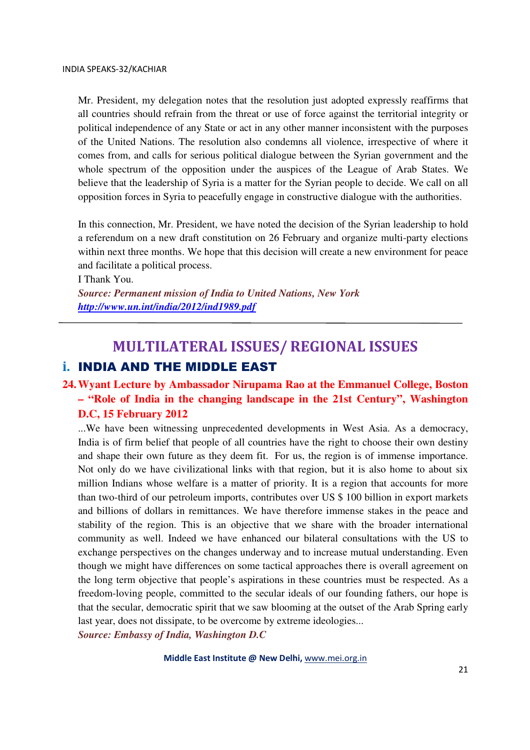Mr. President, my delegation notes that the resolution just adopted expressly reaffirms that all countries should refrain from the threat or use of force against the territorial integrity or political independence of any State or act in any other manner inconsistent with the purposes of the United Nations. The resolution also condemns all violence, irrespective of where it comes from, and calls for serious political dialogue between the Syrian government and the whole spectrum of the opposition under the auspices of the League of Arab States. We believe that the leadership of Syria is a matter for the Syrian people to decide. We call on all opposition forces in Syria to peacefully engage in constructive dialogue with the authorities.

In this connection, Mr. President, we have noted the decision of the Syrian leadership to hold a referendum on a new draft constitution on 26 February and organize multi-party elections within next three months. We hope that this decision will create a new environment for peace and facilitate a political process.

I Thank You.

*Source: Permanent mission of India to United Nations, New York http://www.un.int/india/2012/ind1989.pdf*

## MULTILATERAL ISSUES/ REGIONAL ISSUES i. INDIA AND THE MIDDLE EAST

### **24.Wyant Lecture by Ambassador Nirupama Rao at the Emmanuel College, Boston – "Role of India in the changing landscape in the 21st Century", Washington D.C, 15 February 2012**

...We have been witnessing unprecedented developments in West Asia. As a democracy, India is of firm belief that people of all countries have the right to choose their own destiny and shape their own future as they deem fit. For us, the region is of immense importance. Not only do we have civilizational links with that region, but it is also home to about six million Indians whose welfare is a matter of priority. It is a region that accounts for more than two-third of our petroleum imports, contributes over US \$ 100 billion in export markets and billions of dollars in remittances. We have therefore immense stakes in the peace and stability of the region. This is an objective that we share with the broader international community as well. Indeed we have enhanced our bilateral consultations with the US to exchange perspectives on the changes underway and to increase mutual understanding. Even though we might have differences on some tactical approaches there is overall agreement on the long term objective that people's aspirations in these countries must be respected. As a freedom-loving people, committed to the secular ideals of our founding fathers, our hope is that the secular, democratic spirit that we saw blooming at the outset of the Arab Spring early last year, does not dissipate, to be overcome by extreme ideologies...

*Source: Embassy of India, Washington D.C*